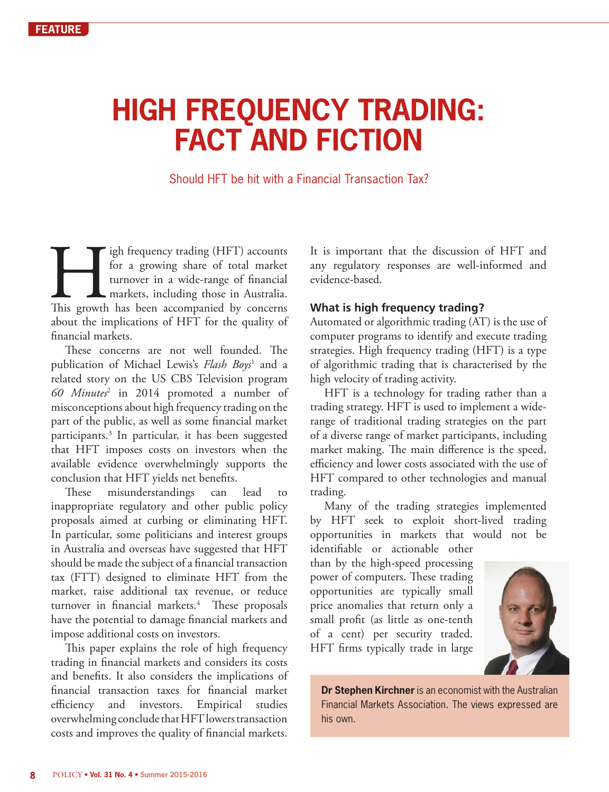# **HIGH FREQUENCY TRADING: FACT AND FICTION**

Should HFT be hit with a Financial Transaction Tax?

If the frequency trading (HFT) accounts for a growing share of total market turnover in a wide-range of financial markets, including those in Australia. This growth has been accompanied by concerns for a growing share of total market turnover in a wide-range of financial markets, including those in Australia. about the implications of HFT for the quality of financial markets.

These concerns are not well founded. The publication of Michael Lewis's *Flash Boys*<sup>1</sup> and a related story on the US CBS Television program *60 Minutes*<sup>2</sup> in 2014 promoted a number of misconceptions about high frequency trading on the part of the public, as well as some financial market participants.3 In particular, it has been suggested that HFT imposes costs on investors when the available evidence overwhelmingly supports the conclusion that HFT yields net benefits.

These misunderstandings can lead to inappropriate regulatory and other public policy proposals aimed at curbing or eliminating HFT. In particular, some politicians and interest groups in Australia and overseas have suggested that HFT should be made the subject of a financial transaction tax (FTT) designed to eliminate HFT from the market, raise additional tax revenue, or reduce turnover in financial markets.4 These proposals have the potential to damage financial markets and impose additional costs on investors.

This paper explains the role of high frequency trading in financial markets and considers its costs and benefits. It also considers the implications of financial transaction taxes for financial market efficiency and investors. Empirical studies overwhelming conclude that HFT lowers transaction costs and improves the quality of financial markets.

It is important that the discussion of HFT and any regulatory responses are well-informed and evidence-based.

# **What is high frequency trading?**

Automated or algorithmic trading (AT) is the use of computer programs to identify and execute trading strategies. High frequency trading (HFT) is a type of algorithmic trading that is characterised by the high velocity of trading activity.

HFT is a technology for trading rather than a trading strategy. HFT is used to implement a widerange of traditional trading strategies on the part of a diverse range of market participants, including market making. The main difference is the speed, efficiency and lower costs associated with the use of HFT compared to other technologies and manual trading.

Many of the trading strategies implemented by HFT seek to exploit short-lived trading opportunities in markets that would not be

identifiable or actionable other than by the high-speed processing power of computers. These trading opportunities are typically small price anomalies that return only a small profit (as little as one-tenth of a cent) per security traded. HFT firms typically trade in large



**Dr Stephen Kirchner** is an economist with the Australian Financial Markets Association. The views expressed are his own.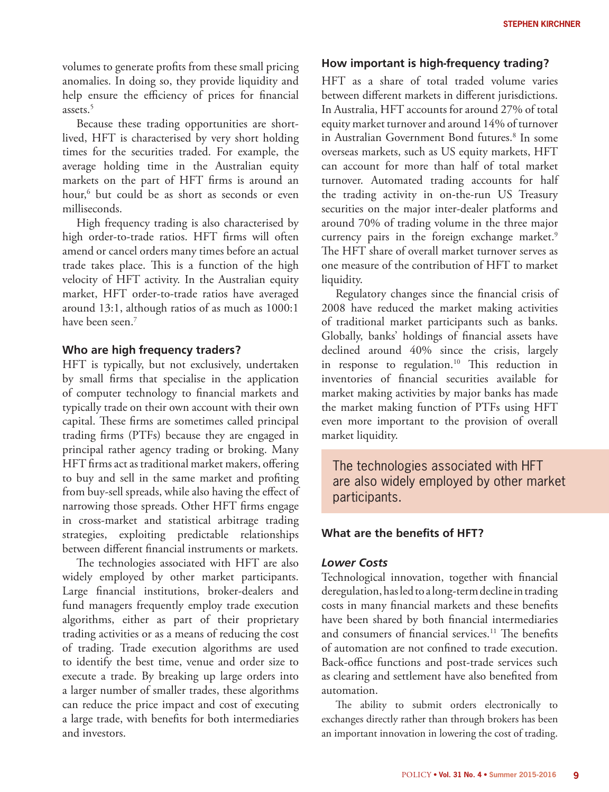volumes to generate profits from these small pricing anomalies. In doing so, they provide liquidity and help ensure the efficiency of prices for financial assets<sup>5</sup>

Because these trading opportunities are shortlived, HFT is characterised by very short holding times for the securities traded. For example, the average holding time in the Australian equity markets on the part of HFT firms is around an hour,6 but could be as short as seconds or even milliseconds.

High frequency trading is also characterised by high order-to-trade ratios. HFT firms will often amend or cancel orders many times before an actual trade takes place. This is a function of the high velocity of HFT activity. In the Australian equity market, HFT order-to-trade ratios have averaged around 13:1, although ratios of as much as 1000:1 have been seen.7

#### **Who are high frequency traders?**

HFT is typically, but not exclusively, undertaken by small firms that specialise in the application of computer technology to financial markets and typically trade on their own account with their own capital. These firms are sometimes called principal trading firms (PTFs) because they are engaged in principal rather agency trading or broking. Many HFT firms act as traditional market makers, offering to buy and sell in the same market and profiting from buy-sell spreads, while also having the effect of narrowing those spreads. Other HFT firms engage in cross-market and statistical arbitrage trading strategies, exploiting predictable relationships between different financial instruments or markets.

The technologies associated with HFT are also widely employed by other market participants. Large financial institutions, broker-dealers and fund managers frequently employ trade execution algorithms, either as part of their proprietary trading activities or as a means of reducing the cost of trading. Trade execution algorithms are used to identify the best time, venue and order size to execute a trade. By breaking up large orders into a larger number of smaller trades, these algorithms can reduce the price impact and cost of executing a large trade, with benefits for both intermediaries and investors.

#### **How important is high-frequency trading?**

HFT as a share of total traded volume varies between different markets in different jurisdictions. In Australia, HFT accounts for around 27% of total equity market turnover and around 14% of turnover in Australian Government Bond futures.<sup>8</sup> In some overseas markets, such as US equity markets, HFT can account for more than half of total market turnover. Automated trading accounts for half the trading activity in on-the-run US Treasury securities on the major inter-dealer platforms and around 70% of trading volume in the three major currency pairs in the foreign exchange market.<sup>9</sup> The HFT share of overall market turnover serves as one measure of the contribution of HFT to market liquidity.

Regulatory changes since the financial crisis of 2008 have reduced the market making activities of traditional market participants such as banks. Globally, banks' holdings of financial assets have declined around 40% since the crisis, largely in response to regulation.<sup>10</sup> This reduction in inventories of financial securities available for market making activities by major banks has made the market making function of PTFs using HFT even more important to the provision of overall market liquidity.

The technologies associated with HFT are also widely employed by other market participants.

#### **What are the benefits of HFT?**

#### *Lower Costs*

Technological innovation, together with financial deregulation, has led to a long-term decline in trading costs in many financial markets and these benefits have been shared by both financial intermediaries and consumers of financial services.<sup>11</sup> The benefits of automation are not confined to trade execution. Back-office functions and post-trade services such as clearing and settlement have also benefited from automation.

The ability to submit orders electronically to exchanges directly rather than through brokers has been an important innovation in lowering the cost of trading.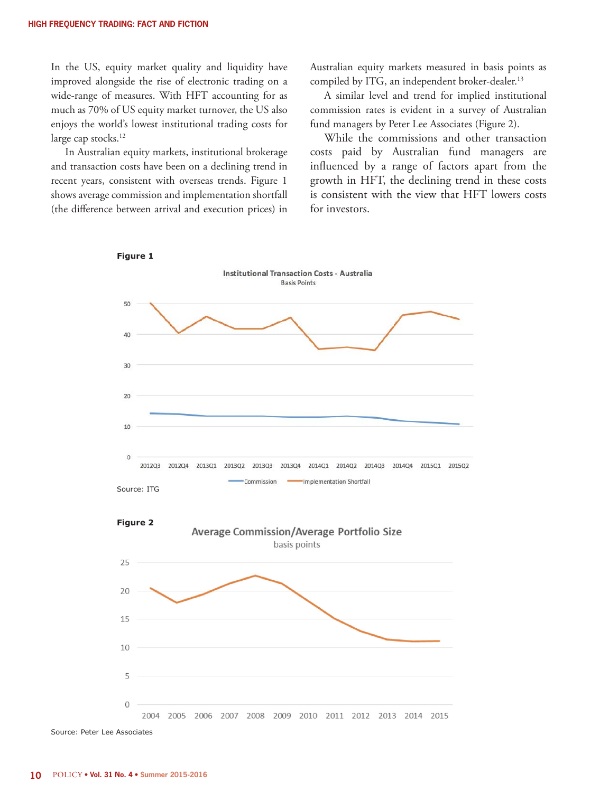In the US, equity market quality and liquidity have improved alongside the rise of electronic trading on a wide-range of measures. With HFT accounting for as much as 70% of US equity market turnover, the US also enjoys the world's lowest institutional trading costs for large cap stocks.<sup>12</sup>

In Australian equity markets, institutional brokerage and transaction costs have been on a declining trend in recent years, consistent with overseas trends. Figure 1 shows average commission and implementation shortfall (the difference between arrival and execution prices) in Australian equity markets measured in basis points as compiled by ITG, an independent broker-dealer.<sup>13</sup>

A similar level and trend for implied institutional commission rates is evident in a survey of Australian fund managers by Peter Lee Associates (Figure 2).

While the commissions and other transaction costs paid by Australian fund managers are influenced by a range of factors apart from the growth in HFT, the declining trend in these costs is consistent with the view that HFT lowers costs for investors.







Source: Peter Lee Associates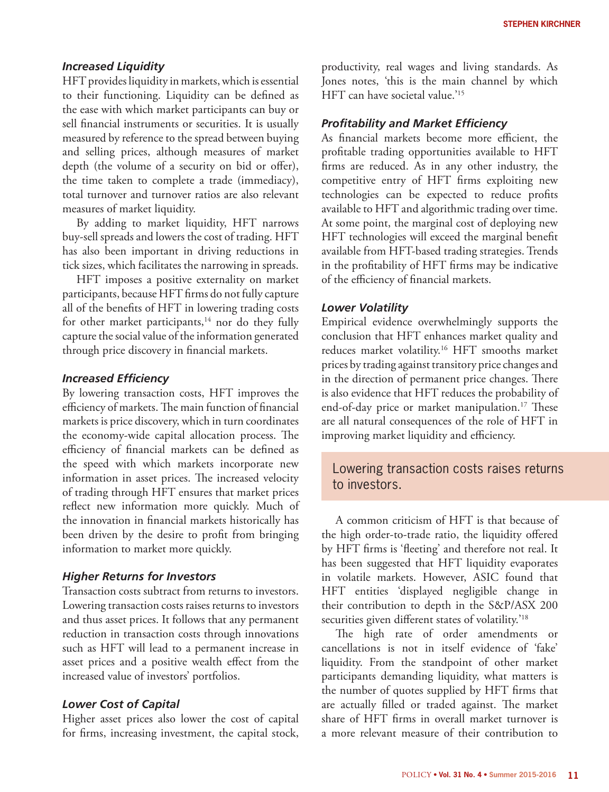#### *Increased Liquidity*

HFT provides liquidity in markets, which is essential to their functioning. Liquidity can be defined as the ease with which market participants can buy or sell financial instruments or securities. It is usually measured by reference to the spread between buying and selling prices, although measures of market depth (the volume of a security on bid or offer), the time taken to complete a trade (immediacy), total turnover and turnover ratios are also relevant measures of market liquidity.

By adding to market liquidity, HFT narrows buy-sell spreads and lowers the cost of trading. HFT has also been important in driving reductions in tick sizes, which facilitates the narrowing in spreads.

HFT imposes a positive externality on market participants, because HFT firms do not fully capture all of the benefits of HFT in lowering trading costs for other market participants,<sup>14</sup> nor do they fully capture the social value of the information generated through price discovery in financial markets.

#### *Increased Efficiency*

By lowering transaction costs, HFT improves the efficiency of markets. The main function of financial markets is price discovery, which in turn coordinates the economy-wide capital allocation process. The efficiency of financial markets can be defined as the speed with which markets incorporate new information in asset prices. The increased velocity of trading through HFT ensures that market prices reflect new information more quickly. Much of the innovation in financial markets historically has been driven by the desire to profit from bringing information to market more quickly.

#### *Higher Returns for Investors*

Transaction costs subtract from returns to investors. Lowering transaction costs raises returns to investors and thus asset prices. It follows that any permanent reduction in transaction costs through innovations such as HFT will lead to a permanent increase in asset prices and a positive wealth effect from the increased value of investors' portfolios.

#### *Lower Cost of Capital*

Higher asset prices also lower the cost of capital for firms, increasing investment, the capital stock,

productivity, real wages and living standards. As Jones notes, 'this is the main channel by which HFT can have societal value.'15

#### *Profitability and Market Efficiency*

As financial markets become more efficient, the profitable trading opportunities available to HFT firms are reduced. As in any other industry, the competitive entry of HFT firms exploiting new technologies can be expected to reduce profits available to HFT and algorithmic trading over time. At some point, the marginal cost of deploying new HFT technologies will exceed the marginal benefit available from HFT-based trading strategies. Trends in the profitability of HFT firms may be indicative of the efficiency of financial markets.

#### *Lower Volatility*

Empirical evidence overwhelmingly supports the conclusion that HFT enhances market quality and reduces market volatility.16 HFT smooths market prices by trading against transitory price changes and in the direction of permanent price changes. There is also evidence that HFT reduces the probability of end-of-day price or market manipulation.<sup>17</sup> These are all natural consequences of the role of HFT in improving market liquidity and efficiency.

# Lowering transaction costs raises returns to investors.

A common criticism of HFT is that because of the high order-to-trade ratio, the liquidity offered by HFT firms is 'fleeting' and therefore not real. It has been suggested that HFT liquidity evaporates in volatile markets. However, ASIC found that HFT entities 'displayed negligible change in their contribution to depth in the S&P/ASX 200 securities given different states of volatility.'18

The high rate of order amendments or cancellations is not in itself evidence of 'fake' liquidity. From the standpoint of other market participants demanding liquidity, what matters is the number of quotes supplied by HFT firms that are actually filled or traded against. The market share of HFT firms in overall market turnover is a more relevant measure of their contribution to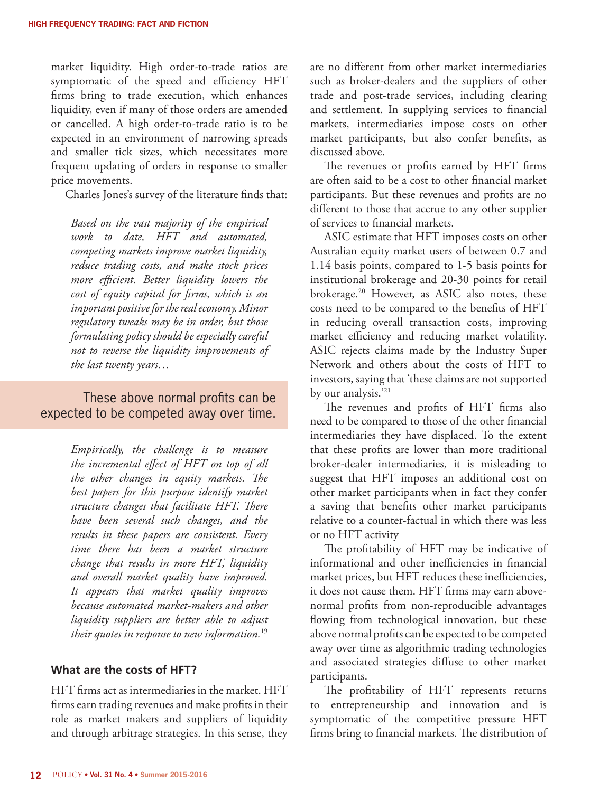market liquidity. High order-to-trade ratios are symptomatic of the speed and efficiency HFT firms bring to trade execution, which enhances liquidity, even if many of those orders are amended or cancelled. A high order-to-trade ratio is to be expected in an environment of narrowing spreads and smaller tick sizes, which necessitates more frequent updating of orders in response to smaller price movements.

Charles Jones's survey of the literature finds that:

*Based on the vast majority of the empirical work to date, HFT and automated, competing markets improve market liquidity, reduce trading costs, and make stock prices more efficient. Better liquidity lowers the cost of equity capital for firms, which is an important positive for the real economy. Minor regulatory tweaks may be in order, but those formulating policy should be especially careful not to reverse the liquidity improvements of the last twenty years…*

# These above normal profits can be expected to be competed away over time.

*Empirically, the challenge is to measure the incremental effect of HFT on top of all the other changes in equity markets. The best papers for this purpose identify market structure changes that facilitate HFT. There have been several such changes, and the results in these papers are consistent. Every time there has been a market structure change that results in more HFT, liquidity and overall market quality have improved. It appears that market quality improves because automated market-makers and other liquidity suppliers are better able to adjust their quotes in response to new information.*<sup>19</sup>

#### **What are the costs of HFT?**

HFT firms act as intermediaries in the market. HFT firms earn trading revenues and make profits in their role as market makers and suppliers of liquidity and through arbitrage strategies. In this sense, they are no different from other market intermediaries such as broker-dealers and the suppliers of other trade and post-trade services, including clearing and settlement. In supplying services to financial markets, intermediaries impose costs on other market participants, but also confer benefits, as discussed above.

The revenues or profits earned by HFT firms are often said to be a cost to other financial market participants. But these revenues and profits are no different to those that accrue to any other supplier of services to financial markets.

ASIC estimate that HFT imposes costs on other Australian equity market users of between 0.7 and 1.14 basis points, compared to 1-5 basis points for institutional brokerage and 20-30 points for retail brokerage.20 However, as ASIC also notes, these costs need to be compared to the benefits of HFT in reducing overall transaction costs, improving market efficiency and reducing market volatility. ASIC rejects claims made by the Industry Super Network and others about the costs of HFT to investors, saying that 'these claims are not supported by our analysis.'<sup>21</sup>

The revenues and profits of HFT firms also need to be compared to those of the other financial intermediaries they have displaced. To the extent that these profits are lower than more traditional broker-dealer intermediaries, it is misleading to suggest that HFT imposes an additional cost on other market participants when in fact they confer a saving that benefits other market participants relative to a counter-factual in which there was less or no HFT activity

The profitability of HFT may be indicative of informational and other inefficiencies in financial market prices, but HFT reduces these inefficiencies, it does not cause them. HFT firms may earn abovenormal profits from non-reproducible advantages flowing from technological innovation, but these above normal profits can be expected to be competed away over time as algorithmic trading technologies and associated strategies diffuse to other market participants.

The profitability of HFT represents returns to entrepreneurship and innovation and is symptomatic of the competitive pressure HFT firms bring to financial markets. The distribution of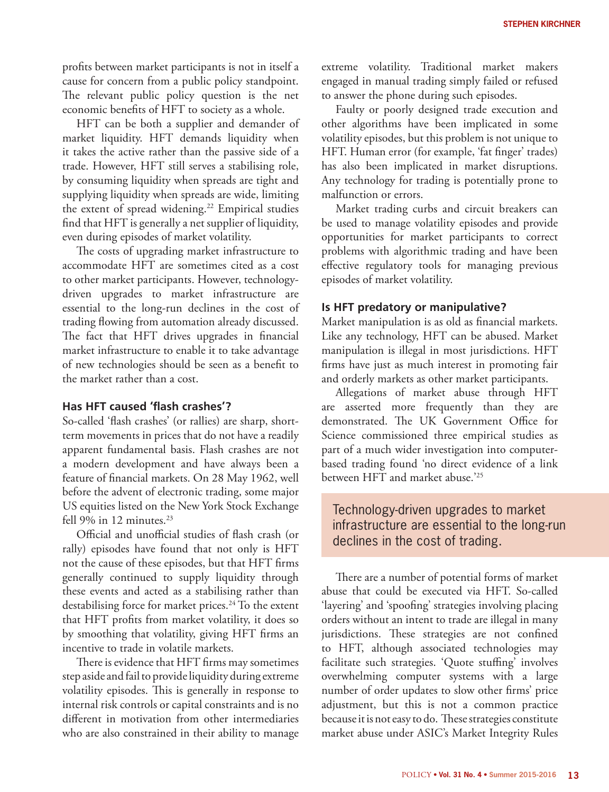profits between market participants is not in itself a cause for concern from a public policy standpoint. The relevant public policy question is the net economic benefits of HFT to society as a whole.

HFT can be both a supplier and demander of market liquidity. HFT demands liquidity when it takes the active rather than the passive side of a trade. However, HFT still serves a stabilising role, by consuming liquidity when spreads are tight and supplying liquidity when spreads are wide, limiting the extent of spread widening.<sup>22</sup> Empirical studies find that HFT is generally a net supplier of liquidity, even during episodes of market volatility.

The costs of upgrading market infrastructure to accommodate HFT are sometimes cited as a cost to other market participants. However, technologydriven upgrades to market infrastructure are essential to the long-run declines in the cost of trading flowing from automation already discussed. The fact that HFT drives upgrades in financial market infrastructure to enable it to take advantage of new technologies should be seen as a benefit to the market rather than a cost.

#### **Has HFT caused 'flash crashes'?**

So-called 'flash crashes' (or rallies) are sharp, shortterm movements in prices that do not have a readily apparent fundamental basis. Flash crashes are not a modern development and have always been a feature of financial markets. On 28 May 1962, well before the advent of electronic trading, some major US equities listed on the New York Stock Exchange fell 9% in 12 minutes.<sup>23</sup>

Official and unofficial studies of flash crash (or rally) episodes have found that not only is HFT not the cause of these episodes, but that HFT firms generally continued to supply liquidity through these events and acted as a stabilising rather than destabilising force for market prices.<sup>24</sup> To the extent that HFT profits from market volatility, it does so by smoothing that volatility, giving HFT firms an incentive to trade in volatile markets.

There is evidence that HFT firms may sometimes step aside and fail to provide liquidity during extreme volatility episodes. This is generally in response to internal risk controls or capital constraints and is no different in motivation from other intermediaries who are also constrained in their ability to manage extreme volatility. Traditional market makers engaged in manual trading simply failed or refused to answer the phone during such episodes.

Faulty or poorly designed trade execution and other algorithms have been implicated in some volatility episodes, but this problem is not unique to HFT. Human error (for example, 'fat finger' trades) has also been implicated in market disruptions. Any technology for trading is potentially prone to malfunction or errors.

Market trading curbs and circuit breakers can be used to manage volatility episodes and provide opportunities for market participants to correct problems with algorithmic trading and have been effective regulatory tools for managing previous episodes of market volatility.

#### **Is HFT predatory or manipulative?**

Market manipulation is as old as financial markets. Like any technology, HFT can be abused. Market manipulation is illegal in most jurisdictions. HFT firms have just as much interest in promoting fair and orderly markets as other market participants.

Allegations of market abuse through HFT are asserted more frequently than they are demonstrated. The UK Government Office for Science commissioned three empirical studies as part of a much wider investigation into computerbased trading found 'no direct evidence of a link between HFT and market abuse.'25

Technology-driven upgrades to market infrastructure are essential to the long-run declines in the cost of trading.

There are a number of potential forms of market abuse that could be executed via HFT. So-called 'layering' and 'spoofing' strategies involving placing orders without an intent to trade are illegal in many jurisdictions. These strategies are not confined to HFT, although associated technologies may facilitate such strategies. 'Quote stuffing' involves overwhelming computer systems with a large number of order updates to slow other firms' price adjustment, but this is not a common practice because it is not easy to do. These strategies constitute market abuse under ASIC's Market Integrity Rules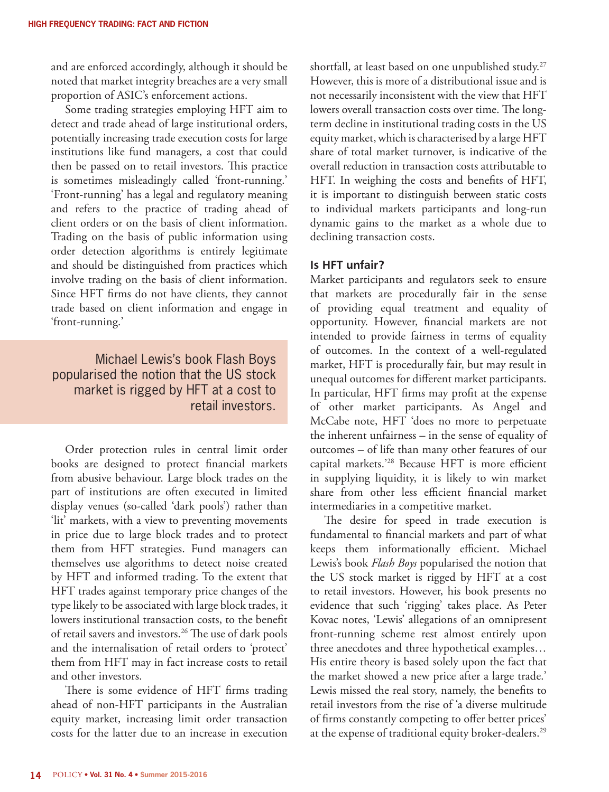and are enforced accordingly, although it should be noted that market integrity breaches are a very small proportion of ASIC's enforcement actions.

Some trading strategies employing HFT aim to detect and trade ahead of large institutional orders, potentially increasing trade execution costs for large institutions like fund managers, a cost that could then be passed on to retail investors. This practice is sometimes misleadingly called 'front-running.' 'Front-running' has a legal and regulatory meaning and refers to the practice of trading ahead of client orders or on the basis of client information. Trading on the basis of public information using order detection algorithms is entirely legitimate and should be distinguished from practices which involve trading on the basis of client information. Since HFT firms do not have clients, they cannot trade based on client information and engage in 'front-running.'

Michael Lewis's book Flash Boys popularised the notion that the US stock market is rigged by HFT at a cost to retail investors.

Order protection rules in central limit order books are designed to protect financial markets from abusive behaviour. Large block trades on the part of institutions are often executed in limited display venues (so-called 'dark pools') rather than 'lit' markets, with a view to preventing movements in price due to large block trades and to protect them from HFT strategies. Fund managers can themselves use algorithms to detect noise created by HFT and informed trading. To the extent that HFT trades against temporary price changes of the type likely to be associated with large block trades, it lowers institutional transaction costs, to the benefit of retail savers and investors.<sup>26</sup> The use of dark pools and the internalisation of retail orders to 'protect' them from HFT may in fact increase costs to retail and other investors.

There is some evidence of HFT firms trading ahead of non-HFT participants in the Australian equity market, increasing limit order transaction costs for the latter due to an increase in execution

shortfall, at least based on one unpublished study.<sup>27</sup> However, this is more of a distributional issue and is not necessarily inconsistent with the view that HFT lowers overall transaction costs over time. The longterm decline in institutional trading costs in the US equity market, which is characterised by a large HFT share of total market turnover, is indicative of the overall reduction in transaction costs attributable to HFT. In weighing the costs and benefits of HFT, it is important to distinguish between static costs to individual markets participants and long-run dynamic gains to the market as a whole due to declining transaction costs.

#### **Is HFT unfair?**

Market participants and regulators seek to ensure that markets are procedurally fair in the sense of providing equal treatment and equality of opportunity. However, financial markets are not intended to provide fairness in terms of equality of outcomes. In the context of a well-regulated market, HFT is procedurally fair, but may result in unequal outcomes for different market participants. In particular, HFT firms may profit at the expense of other market participants. As Angel and McCabe note, HFT 'does no more to perpetuate the inherent unfairness – in the sense of equality of outcomes – of life than many other features of our capital markets.'28 Because HFT is more efficient in supplying liquidity, it is likely to win market share from other less efficient financial market intermediaries in a competitive market.

The desire for speed in trade execution is fundamental to financial markets and part of what keeps them informationally efficient. Michael Lewis's book *Flash Boys* popularised the notion that the US stock market is rigged by HFT at a cost to retail investors. However, his book presents no evidence that such 'rigging' takes place. As Peter Kovac notes, 'Lewis' allegations of an omnipresent front-running scheme rest almost entirely upon three anecdotes and three hypothetical examples… His entire theory is based solely upon the fact that the market showed a new price after a large trade.' Lewis missed the real story, namely, the benefits to retail investors from the rise of 'a diverse multitude of firms constantly competing to offer better prices' at the expense of traditional equity broker-dealers.29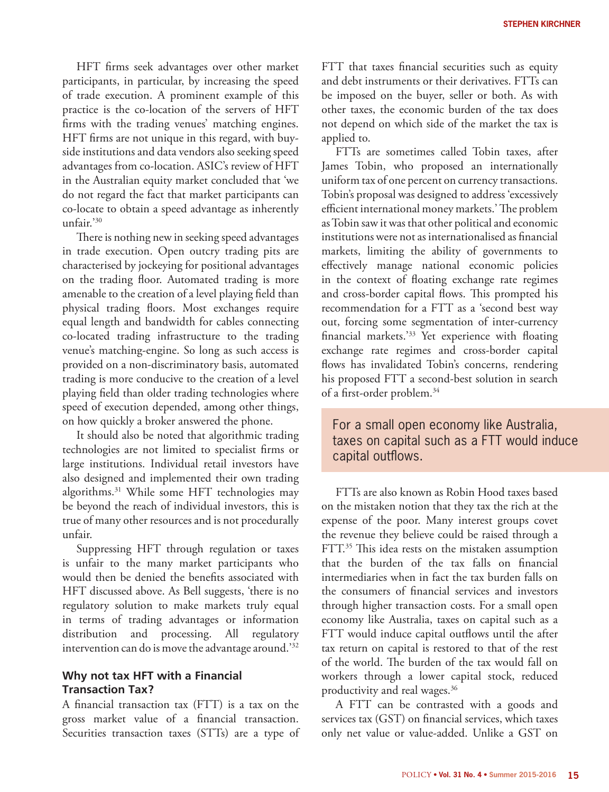HFT firms seek advantages over other market participants, in particular, by increasing the speed of trade execution. A prominent example of this practice is the co-location of the servers of HFT firms with the trading venues' matching engines. HFT firms are not unique in this regard, with buyside institutions and data vendors also seeking speed advantages from co-location. ASIC's review of HFT in the Australian equity market concluded that 'we do not regard the fact that market participants can co-locate to obtain a speed advantage as inherently unfair.'30

There is nothing new in seeking speed advantages in trade execution. Open outcry trading pits are characterised by jockeying for positional advantages on the trading floor. Automated trading is more amenable to the creation of a level playing field than physical trading floors. Most exchanges require equal length and bandwidth for cables connecting co-located trading infrastructure to the trading venue's matching-engine. So long as such access is provided on a non-discriminatory basis, automated trading is more conducive to the creation of a level playing field than older trading technologies where speed of execution depended, among other things, on how quickly a broker answered the phone.

It should also be noted that algorithmic trading technologies are not limited to specialist firms or large institutions. Individual retail investors have also designed and implemented their own trading algorithms.31 While some HFT technologies may be beyond the reach of individual investors, this is true of many other resources and is not procedurally unfair.

Suppressing HFT through regulation or taxes is unfair to the many market participants who would then be denied the benefits associated with HFT discussed above. As Bell suggests, 'there is no regulatory solution to make markets truly equal in terms of trading advantages or information distribution and processing. All regulatory intervention can do is move the advantage around.'32

# **Why not tax HFT with a Financial Transaction Tax?**

A financial transaction tax (FTT) is a tax on the gross market value of a financial transaction. Securities transaction taxes (STTs) are a type of

FTT that taxes financial securities such as equity and debt instruments or their derivatives. FTTs can be imposed on the buyer, seller or both. As with other taxes, the economic burden of the tax does not depend on which side of the market the tax is applied to.

FTTs are sometimes called Tobin taxes, after James Tobin, who proposed an internationally uniform tax of one percent on currency transactions. Tobin's proposal was designed to address 'excessively efficient international money markets.' The problem as Tobin saw it was that other political and economic institutions were not as internationalised as financial markets, limiting the ability of governments to effectively manage national economic policies in the context of floating exchange rate regimes and cross-border capital flows. This prompted his recommendation for a FTT as a 'second best way out, forcing some segmentation of inter-currency financial markets.'33 Yet experience with floating exchange rate regimes and cross-border capital flows has invalidated Tobin's concerns, rendering his proposed FTT a second-best solution in search of a first-order problem.34

# For a small open economy like Australia, taxes on capital such as a FTT would induce capital outflows.

FTTs are also known as Robin Hood taxes based on the mistaken notion that they tax the rich at the expense of the poor. Many interest groups covet the revenue they believe could be raised through a FTT.<sup>35</sup> This idea rests on the mistaken assumption that the burden of the tax falls on financial intermediaries when in fact the tax burden falls on the consumers of financial services and investors through higher transaction costs. For a small open economy like Australia, taxes on capital such as a FTT would induce capital outflows until the after tax return on capital is restored to that of the rest of the world. The burden of the tax would fall on workers through a lower capital stock, reduced productivity and real wages.36

A FTT can be contrasted with a goods and services tax (GST) on financial services, which taxes only net value or value-added. Unlike a GST on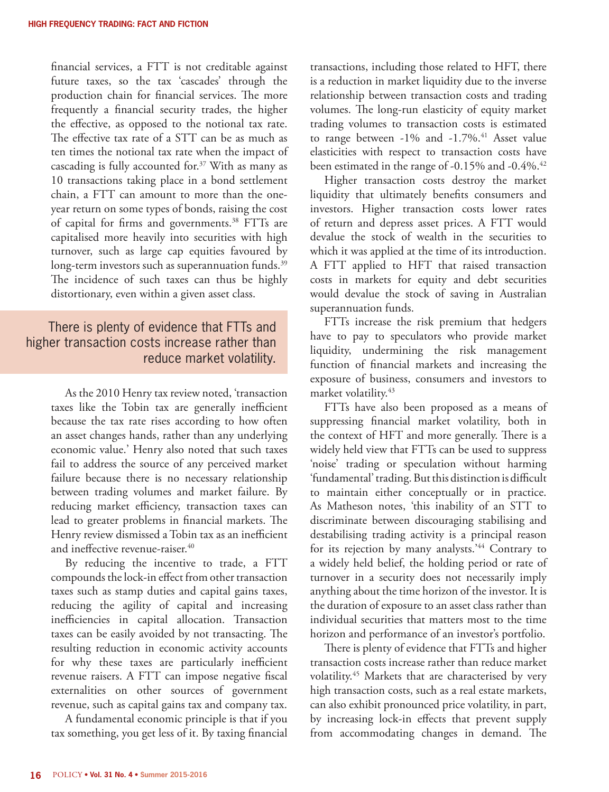financial services, a FTT is not creditable against future taxes, so the tax 'cascades' through the production chain for financial services. The more frequently a financial security trades, the higher the effective, as opposed to the notional tax rate. The effective tax rate of a STT can be as much as ten times the notional tax rate when the impact of cascading is fully accounted for.<sup>37</sup> With as many as 10 transactions taking place in a bond settlement chain, a FTT can amount to more than the oneyear return on some types of bonds, raising the cost of capital for firms and governments.38 FTTs are capitalised more heavily into securities with high turnover, such as large cap equities favoured by long-term investors such as superannuation funds.<sup>39</sup> The incidence of such taxes can thus be highly distortionary, even within a given asset class.

# There is plenty of evidence that FTTs and higher transaction costs increase rather than reduce market volatility.

As the 2010 Henry tax review noted, 'transaction taxes like the Tobin tax are generally inefficient because the tax rate rises according to how often an asset changes hands, rather than any underlying economic value.' Henry also noted that such taxes fail to address the source of any perceived market failure because there is no necessary relationship between trading volumes and market failure. By reducing market efficiency, transaction taxes can lead to greater problems in financial markets. The Henry review dismissed a Tobin tax as an inefficient and ineffective revenue-raiser.<sup>40</sup>

By reducing the incentive to trade, a FTT compounds the lock-in effect from other transaction taxes such as stamp duties and capital gains taxes, reducing the agility of capital and increasing inefficiencies in capital allocation. Transaction taxes can be easily avoided by not transacting. The resulting reduction in economic activity accounts for why these taxes are particularly inefficient revenue raisers. A FTT can impose negative fiscal externalities on other sources of government revenue, such as capital gains tax and company tax.

A fundamental economic principle is that if you tax something, you get less of it. By taxing financial transactions, including those related to HFT, there is a reduction in market liquidity due to the inverse relationship between transaction costs and trading volumes. The long-run elasticity of equity market trading volumes to transaction costs is estimated to range between  $-1\%$  and  $-1.7\%$ .<sup>41</sup> Asset value elasticities with respect to transaction costs have been estimated in the range of -0.15% and -0.4%.<sup>42</sup>

Higher transaction costs destroy the market liquidity that ultimately benefits consumers and investors. Higher transaction costs lower rates of return and depress asset prices. A FTT would devalue the stock of wealth in the securities to which it was applied at the time of its introduction. A FTT applied to HFT that raised transaction costs in markets for equity and debt securities would devalue the stock of saving in Australian superannuation funds.

FTTs increase the risk premium that hedgers have to pay to speculators who provide market liquidity, undermining the risk management function of financial markets and increasing the exposure of business, consumers and investors to market volatility.<sup>43</sup>

FTTs have also been proposed as a means of suppressing financial market volatility, both in the context of HFT and more generally. There is a widely held view that FTTs can be used to suppress 'noise' trading or speculation without harming 'fundamental' trading. But this distinction is difficult to maintain either conceptually or in practice. As Matheson notes, 'this inability of an STT to discriminate between discouraging stabilising and destabilising trading activity is a principal reason for its rejection by many analysts.<sup>'44</sup> Contrary to a widely held belief, the holding period or rate of turnover in a security does not necessarily imply anything about the time horizon of the investor. It is the duration of exposure to an asset class rather than individual securities that matters most to the time horizon and performance of an investor's portfolio.

There is plenty of evidence that FTTs and higher transaction costs increase rather than reduce market volatility.45 Markets that are characterised by very high transaction costs, such as a real estate markets, can also exhibit pronounced price volatility, in part, by increasing lock-in effects that prevent supply from accommodating changes in demand. The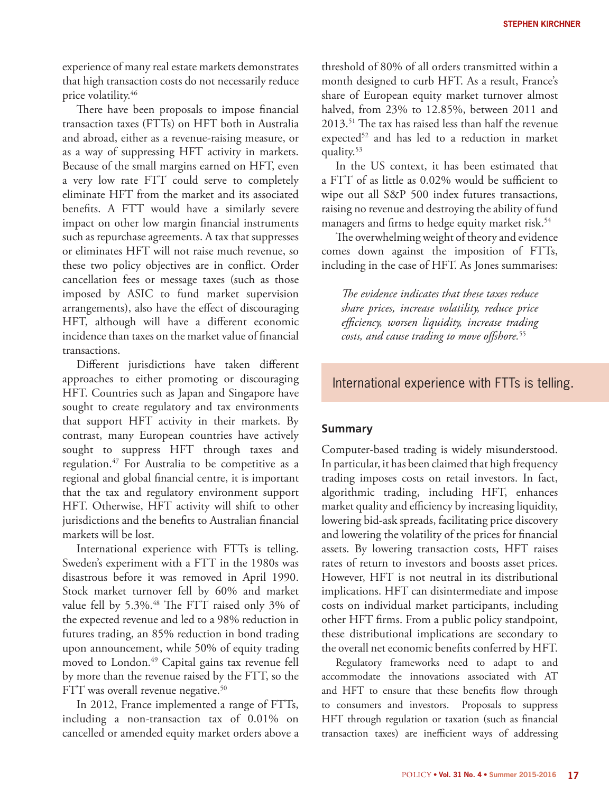experience of many real estate markets demonstrates that high transaction costs do not necessarily reduce price volatility.46

There have been proposals to impose financial transaction taxes (FTTs) on HFT both in Australia and abroad, either as a revenue-raising measure, or as a way of suppressing HFT activity in markets. Because of the small margins earned on HFT, even a very low rate FTT could serve to completely eliminate HFT from the market and its associated benefits. A FTT would have a similarly severe impact on other low margin financial instruments such as repurchase agreements. A tax that suppresses or eliminates HFT will not raise much revenue, so these two policy objectives are in conflict. Order cancellation fees or message taxes (such as those imposed by ASIC to fund market supervision arrangements), also have the effect of discouraging HFT, although will have a different economic incidence than taxes on the market value of financial transactions.

Different jurisdictions have taken different approaches to either promoting or discouraging HFT. Countries such as Japan and Singapore have sought to create regulatory and tax environments that support HFT activity in their markets. By contrast, many European countries have actively sought to suppress HFT through taxes and regulation.<sup>47</sup> For Australia to be competitive as a regional and global financial centre, it is important that the tax and regulatory environment support HFT. Otherwise, HFT activity will shift to other jurisdictions and the benefits to Australian financial markets will be lost.

International experience with FTTs is telling. Sweden's experiment with a FTT in the 1980s was disastrous before it was removed in April 1990. Stock market turnover fell by 60% and market value fell by 5.3%.<sup>48</sup> The FTT raised only 3% of the expected revenue and led to a 98% reduction in futures trading, an 85% reduction in bond trading upon announcement, while 50% of equity trading moved to London.<sup>49</sup> Capital gains tax revenue fell by more than the revenue raised by the FTT, so the FTT was overall revenue negative.<sup>50</sup>

In 2012, France implemented a range of FTTs, including a non-transaction tax of 0.01% on cancelled or amended equity market orders above a

threshold of 80% of all orders transmitted within a month designed to curb HFT. As a result, France's share of European equity market turnover almost halved, from 23% to 12.85%, between 2011 and 2013.51 The tax has raised less than half the revenue expected<sup>52</sup> and has led to a reduction in market quality.53

In the US context, it has been estimated that a FTT of as little as 0.02% would be sufficient to wipe out all S&P 500 index futures transactions, raising no revenue and destroying the ability of fund managers and firms to hedge equity market risk.<sup>54</sup>

The overwhelming weight of theory and evidence comes down against the imposition of FTTs, including in the case of HFT. As Jones summarises:

*The evidence indicates that these taxes reduce share prices, increase volatility, reduce price efficiency, worsen liquidity, increase trading costs, and cause trading to move offshore.*<sup>55</sup>

# International experience with FTTs is telling.

#### **Summary**

Computer-based trading is widely misunderstood. In particular, it has been claimed that high frequency trading imposes costs on retail investors. In fact, algorithmic trading, including HFT, enhances market quality and efficiency by increasing liquidity, lowering bid-ask spreads, facilitating price discovery and lowering the volatility of the prices for financial assets. By lowering transaction costs, HFT raises rates of return to investors and boosts asset prices. However, HFT is not neutral in its distributional implications. HFT can disintermediate and impose costs on individual market participants, including other HFT firms. From a public policy standpoint, these distributional implications are secondary to the overall net economic benefits conferred by HFT.

Regulatory frameworks need to adapt to and accommodate the innovations associated with AT and HFT to ensure that these benefits flow through to consumers and investors. Proposals to suppress HFT through regulation or taxation (such as financial transaction taxes) are inefficient ways of addressing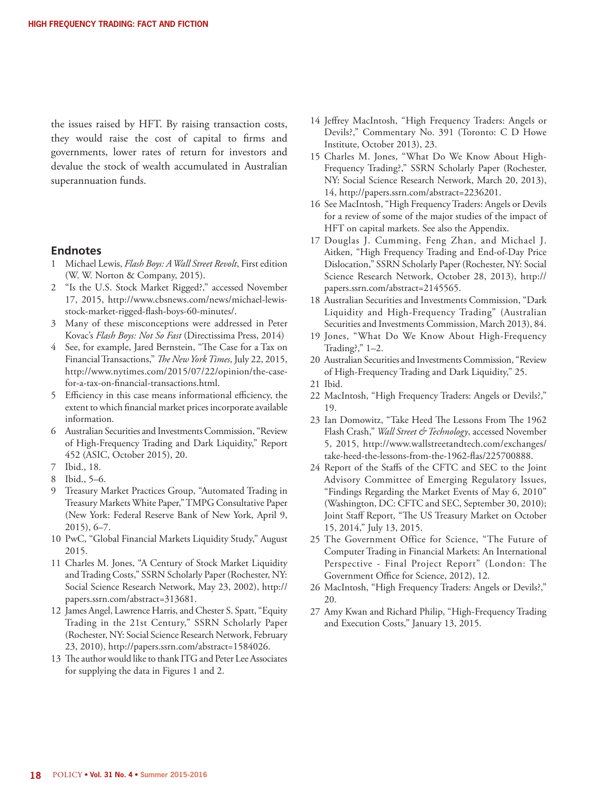the issues raised by HFT. By raising transaction costs, they would raise the cost of capital to firms and governments, lower rates of return for investors and devalue the stock of wealth accumulated in Australian superannuation funds.

#### **Endnotes**

- 1 Michael Lewis, *Flash Boys: A Wall Street Revolt*, First edition (W. W. Norton & Company, 2015).
- 2 "Is the U.S. Stock Market Rigged?," accessed November 17, 2015, http://www.cbsnews.com/news/michael-lewisstock-market-rigged-flash-boys-60-minutes/.
- 3 Many of these misconceptions were addressed in Peter Kovac's *Flash Boys: Not So Fast* (Directissima Press, 2014)
- 4 See, for example, Jared Bernstein, "The Case for a Tax on Financial Transactions," *The New York Times*, July 22, 2015, http://www.nytimes.com/2015/07/22/opinion/the-casefor-a-tax-on-financial-transactions.html.
- 5 Efficiency in this case means informational efficiency, the extent to which financial market prices incorporate available information.
- 6 Australian Securities and Investments Commission, "Review of High-Frequency Trading and Dark Liquidity," Report 452 (ASIC, October 2015), 20.
- 7 Ibid., 18.
- 8 Ibid., 5–6.
- 9 Treasury Market Practices Group, "Automated Trading in Treasury Markets White Paper," TMPG Consultative Paper (New York: Federal Reserve Bank of New York, April 9, 2015), 6–7.
- 10 PwC, "Global Financial Markets Liquidity Study," August 2015.
- 11 Charles M. Jones, "A Century of Stock Market Liquidity and Trading Costs," SSRN Scholarly Paper (Rochester, NY: Social Science Research Network, May 23, 2002), http:// papers.ssrn.com/abstract=313681.
- 12 James Angel, Lawrence Harris, and Chester S. Spatt, "Equity Trading in the 21st Century," SSRN Scholarly Paper (Rochester, NY: Social Science Research Network, February 23, 2010), http://papers.ssrn.com/abstract=1584026.
- 13 The author would like to thank ITG and Peter Lee Associates for supplying the data in Figures 1 and 2.
- 14 Jeffrey MacIntosh, "High Frequency Traders: Angels or Devils?," Commentary No. 391 (Toronto: C D Howe Institute, October 2013), 23.
- 15 Charles M. Jones, "What Do We Know About High-Frequency Trading?," SSRN Scholarly Paper (Rochester, NY: Social Science Research Network, March 20, 2013), 14, http://papers.ssrn.com/abstract=2236201.
- 16 See MacIntosh, "High Frequency Traders: Angels or Devils for a review of some of the major studies of the impact of HFT on capital markets. See also the Appendix.
- 17 Douglas J. Cumming, Feng Zhan, and Michael J. Aitken, "High Frequency Trading and End-of-Day Price Dislocation," SSRN Scholarly Paper (Rochester, NY: Social Science Research Network, October 28, 2013), http:// papers.ssrn.com/abstract=2145565.
- 18 Australian Securities and Investments Commission, "Dark Liquidity and High-Frequency Trading" (Australian Securities and Investments Commission, March 2013), 84.
- 19 Jones, "What Do We Know About High-Frequency Trading?," 1–2.
- 20 Australian Securities and Investments Commission, "Review of High-Frequency Trading and Dark Liquidity," 25.
- 21 Ibid.
- 22 MacIntosh, "High Frequency Traders: Angels or Devils?," 19.
- 23 Ian Domowitz, "Take Heed The Lessons From The 1962 Flash Crash," *Wall Street & Technology*, accessed November 5, 2015, http://www.wallstreetandtech.com/exchanges/ take-heed-the-lessons-from-the-1962-flas/225700888.
- 24 Report of the Staffs of the CFTC and SEC to the Joint Advisory Committee of Emerging Regulatory Issues, "Findings Regarding the Market Events of May 6, 2010" (Washington, DC: CFTC and SEC, September 30, 2010); Joint Staff Report, "The US Treasury Market on October 15, 2014," July 13, 2015.
- 25 The Government Office for Science, "The Future of Computer Trading in Financial Markets: An International Perspective - Final Project Report" (London: The Government Office for Science, 2012), 12.
- 26 MacIntosh, "High Frequency Traders: Angels or Devils?," 20.
- 27 Amy Kwan and Richard Philip, "High-Frequency Trading and Execution Costs," January 13, 2015.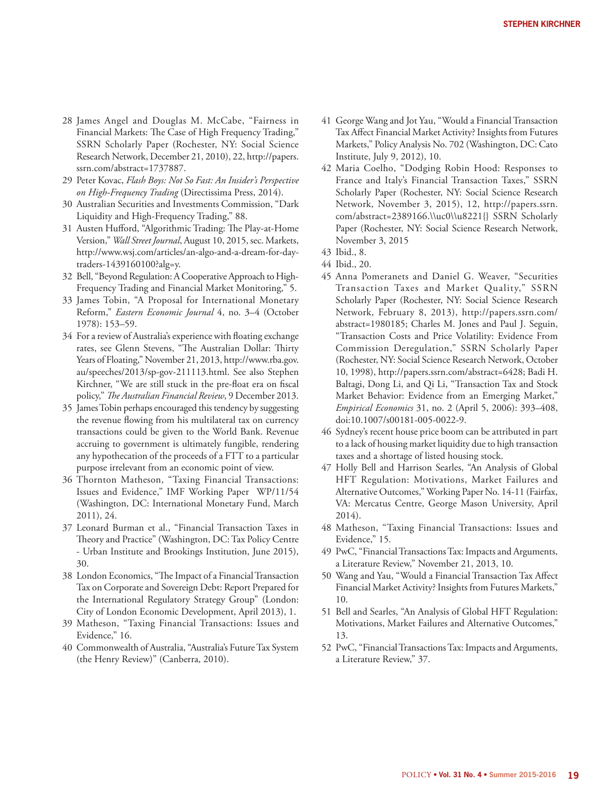- 28 James Angel and Douglas M. McCabe, "Fairness in Financial Markets: The Case of High Frequency Trading," SSRN Scholarly Paper (Rochester, NY: Social Science Research Network, December 21, 2010), 22, http://papers. ssrn.com/abstract=1737887.
- 29 Peter Kovac, *Flash Boys: Not So Fast: An Insider's Perspective on High-Frequency Trading* (Directissima Press, 2014).
- 30 Australian Securities and Investments Commission, "Dark Liquidity and High-Frequency Trading," 88.
- 31 Austen Hufford, "Algorithmic Trading: The Play-at-Home Version," *Wall Street Journal*, August 10, 2015, sec. Markets, http://www.wsj.com/articles/an-algo-and-a-dream-for-daytraders-1439160100?alg=y.
- 32 Bell, "Beyond Regulation: A Cooperative Approach to High-Frequency Trading and Financial Market Monitoring," 5.
- 33 James Tobin, "A Proposal for International Monetary Reform," *Eastern Economic Journal* 4, no. 3–4 (October 1978): 153–59.
- 34 For a review of Australia's experience with floating exchange rates, see Glenn Stevens, "The Australian Dollar: Thirty Years of Floating," November 21, 2013, http://www.rba.gov. au/speeches/2013/sp-gov-211113.html. See also Stephen Kirchner, "We are still stuck in the pre-float era on fiscal policy," *The Australian Financial Review*, 9 December 2013.
- 35 James Tobin perhaps encouraged this tendency by suggesting the revenue flowing from his multilateral tax on currency transactions could be given to the World Bank. Revenue accruing to government is ultimately fungible, rendering any hypothecation of the proceeds of a FTT to a particular purpose irrelevant from an economic point of view.
- 36 Thornton Matheson, "Taxing Financial Transactions: Issues and Evidence," IMF Working Paper WP/11/54 (Washington, DC: International Monetary Fund, March 2011), 24.
- 37 Leonard Burman et al., "Financial Transaction Taxes in Theory and Practice" (Washington, DC: Tax Policy Centre - Urban Institute and Brookings Institution, June 2015), 30.
- 38 London Economics, "The Impact of a Financial Transaction Tax on Corporate and Sovereign Debt: Report Prepared for the International Regulatory Strategy Group" (London: City of London Economic Development, April 2013), 1.
- 39 Matheson, "Taxing Financial Transactions: Issues and Evidence," 16.
- 40 Commonwealth of Australia, "Australia's Future Tax System (the Henry Review)" (Canberra, 2010).
- 41 George Wang and Jot Yau, "Would a Financial Transaction Tax Affect Financial Market Activity? Insights from Futures Markets," Policy Analysis No. 702 (Washington, DC: Cato Institute, July 9, 2012), 10.
- 42 Maria Coelho, "Dodging Robin Hood: Responses to France and Italy's Financial Transaction Taxes," SSRN Scholarly Paper (Rochester, NY: Social Science Research Network, November 3, 2015), 12, http://papers.ssrn. com/abstract=2389166.\\uc0\\u8221{} SSRN Scholarly Paper (Rochester, NY: Social Science Research Network, November 3, 2015
- 43 Ibid., 8.
- 44 Ibid., 20.
- 45 Anna Pomeranets and Daniel G. Weaver, "Securities Transaction Taxes and Market Quality," SSRN Scholarly Paper (Rochester, NY: Social Science Research Network, February 8, 2013), http://papers.ssrn.com/ abstract=1980185; Charles M. Jones and Paul J. Seguin, "Transaction Costs and Price Volatility: Evidence From Commission Deregulation," SSRN Scholarly Paper (Rochester, NY: Social Science Research Network, October 10, 1998), http://papers.ssrn.com/abstract=6428; Badi H. Baltagi, Dong Li, and Qi Li, "Transaction Tax and Stock Market Behavior: Evidence from an Emerging Market," *Empirical Economics* 31, no. 2 (April 5, 2006): 393–408, doi:10.1007/s00181-005-0022-9.
- 46 Sydney's recent house price boom can be attributed in part to a lack of housing market liquidity due to high transaction taxes and a shortage of listed housing stock.
- 47 Holly Bell and Harrison Searles, "An Analysis of Global HFT Regulation: Motivations, Market Failures and Alternative Outcomes," Working Paper No. 14-11 (Fairfax, VA: Mercatus Centre, George Mason University, April 2014).
- 48 Matheson, "Taxing Financial Transactions: Issues and Evidence," 15.
- 49 PwC, "Financial Transactions Tax: Impacts and Arguments, a Literature Review," November 21, 2013, 10.
- 50 Wang and Yau, "Would a Financial Transaction Tax Affect Financial Market Activity? Insights from Futures Markets," 10.
- 51 Bell and Searles, "An Analysis of Global HFT Regulation: Motivations, Market Failures and Alternative Outcomes," 13.
- 52 PwC, "Financial Transactions Tax: Impacts and Arguments, a Literature Review," 37.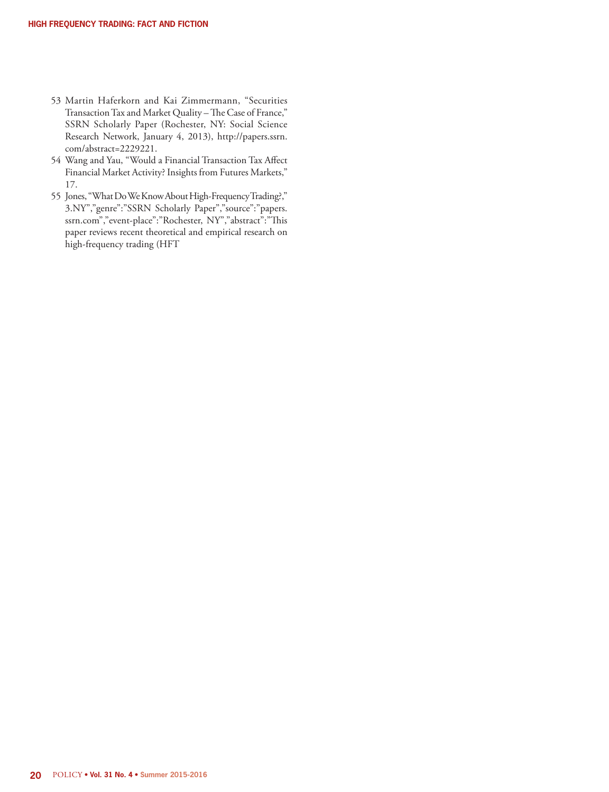- 53 Martin Haferkorn and Kai Zimmermann, "Securities Transaction Tax and Market Quality – The Case of France," SSRN Scholarly Paper (Rochester, NY: Social Science Research Network, January 4, 2013), http://papers.ssrn. com/abstract=2229221.
- 54 Wang and Yau, "Would a Financial Transaction Tax Affect Financial Market Activity? Insights from Futures Markets," 17.
- 55 Jones, "What Do We Know About High-Frequency Trading?," 3.NY","genre":"SSRN Scholarly Paper","source":"papers. ssrn.com","event-place":"Rochester, NY","abstract":"This paper reviews recent theoretical and empirical research on high-frequency trading (HFT